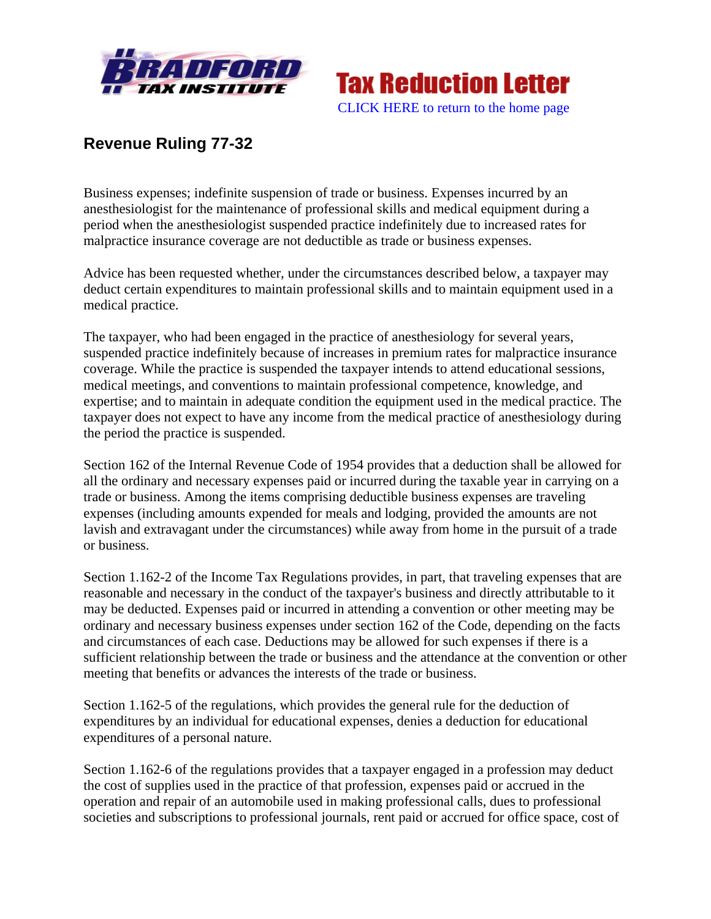



## **Revenue Ruling 77-32**

Business expenses; indefinite suspension of trade or business. Expenses incurred by an anesthesiologist for the maintenance of professional skills and medical equipment during a period when the anesthesiologist suspended practice indefinitely due to increased rates for malpractice insurance coverage are not deductible as trade or business expenses.

Advice has been requested whether, under the circumstances described below, a taxpayer may deduct certain expenditures to maintain professional skills and to maintain equipment used in a medical practice.

The taxpayer, who had been engaged in the practice of anesthesiology for several years, suspended practice indefinitely because of increases in premium rates for malpractice insurance coverage. While the practice is suspended the taxpayer intends to attend educational sessions, medical meetings, and conventions to maintain professional competence, knowledge, and expertise; and to maintain in adequate condition the equipment used in the medical practice. The taxpayer does not expect to have any income from the medical practice of anesthesiology during the period the practice is suspended.

Section 162 of the Internal Revenue Code of 1954 provides that a deduction shall be allowed for all the ordinary and necessary expenses paid or incurred during the taxable year in carrying on a trade or business. Among the items comprising deductible business expenses are traveling expenses (including amounts expended for meals and lodging, provided the amounts are not lavish and extravagant under the circumstances) while away from home in the pursuit of a trade or business.

Section 1.162-2 of the Income Tax Regulations provides, in part, that traveling expenses that are reasonable and necessary in the conduct of the taxpayer's business and directly attributable to it may be deducted. Expenses paid or incurred in attending a convention or other meeting may be ordinary and necessary business expenses under section 162 of the Code, depending on the facts and circumstances of each case. Deductions may be allowed for such expenses if there is a sufficient relationship between the trade or business and the attendance at the convention or other meeting that benefits or advances the interests of the trade or business.

Section 1.162-5 of the regulations, which provides the general rule for the deduction of expenditures by an individual for educational expenses, denies a deduction for educational expenditures of a personal nature.

Section 1.162-6 of the regulations provides that a taxpayer engaged in a profession may deduct the cost of supplies used in the practice of that profession, expenses paid or accrued in the operation and repair of an automobile used in making professional calls, dues to professional societies and subscriptions to professional journals, rent paid or accrued for office space, cost of